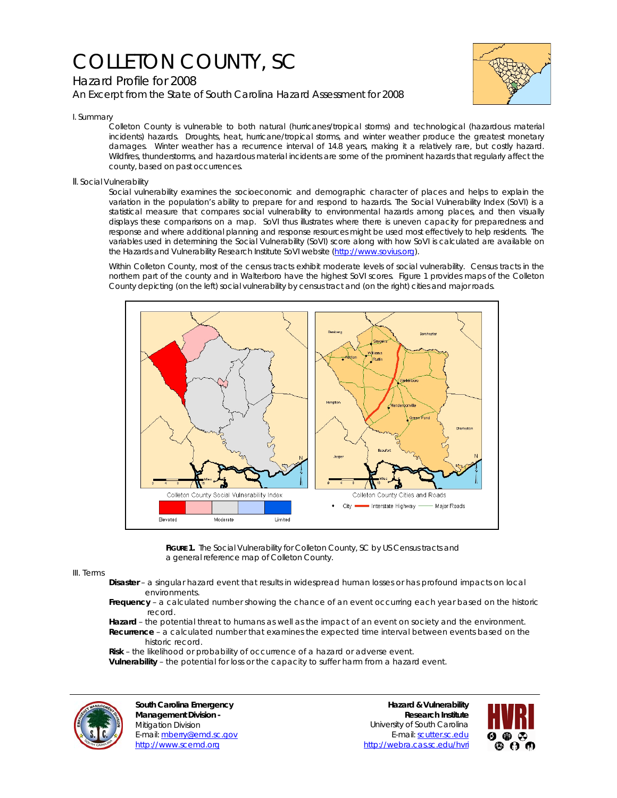# COLLETON COUNTY, SC

# Hazard Profile for 2008

*An Excerpt from the State of South Carolina Hazard Assessment for 2008*



I. Summary

Colleton County is vulnerable to both natural (hurricanes/tropical storms) and technological (hazardous material incidents) hazards. Droughts, heat, hurricane/tropical storms, and winter weather produce the greatest monetary damages. Winter weather has a recurrence interval of 14.8 years, making it a relatively rare, but costly hazard. Wildfires, thunderstorms, and hazardous material incidents are some of the prominent hazards that regularly affect the county, based on past occurrences.

## II. Social Vulnerability

Social vulnerability examines the socioeconomic and demographic character of places and helps to explain the variation in the population's ability to prepare for and respond to hazards. The Social Vulnerability Index (SoVI) is a statistical measure that compares social vulnerability to environmental hazards among places, and then visually displays these comparisons on a map. SoVI thus illustrates where there is uneven capacity for preparedness and response and where additional planning and response resources might be used most effectively to help residents. The variables used in determining the Social Vulnerability (SoVI) score along with how SoVI is calculated are available on the Hazards and Vulnerability Research Institute SoVI website (http://www.sovius.org).

Within Colleton County, most of the census tracts exhibit moderate levels of social vulnerability. Census tracts in the northern part of the county and in Walterboro have the highest SoVI scores. Figure 1 provides maps of the Colleton County depicting (on the left) social vulnerability by census tract and (on the right) cities and major roads.



FIGURE 1. The Social Vulnerability for Colleton County, SC by US Census tracts and a general reference map of Colleton County.

### III. Terms

- **Disaster** a singular hazard event that results in widespread human losses or has profound impacts on local environments.
- **Frequency** a calculated number showing the chance of an event occurring each year based on the historic record.
- **Hazard** the potential threat to humans as well as the impact of an event on society and the environment.  **Recurrence** – a calculated number that examines the expected time interval between events based on the historic record.
- **Risk** the likelihood or probability of occurrence of a hazard or adverse event.

 **Vulnerability** – the potential for loss or the capacity to suffer harm from a hazard event.



**South Carolina Emergency Management Division -**  Mitigation Division E-mail: mberry@emd.sc.gov http://www.scemd.org

**Hazard & Vulnerability Research Institute**  University of South Carolina E-mail: scutter.sc.edu http://webra.cas.sc.edu/hvri

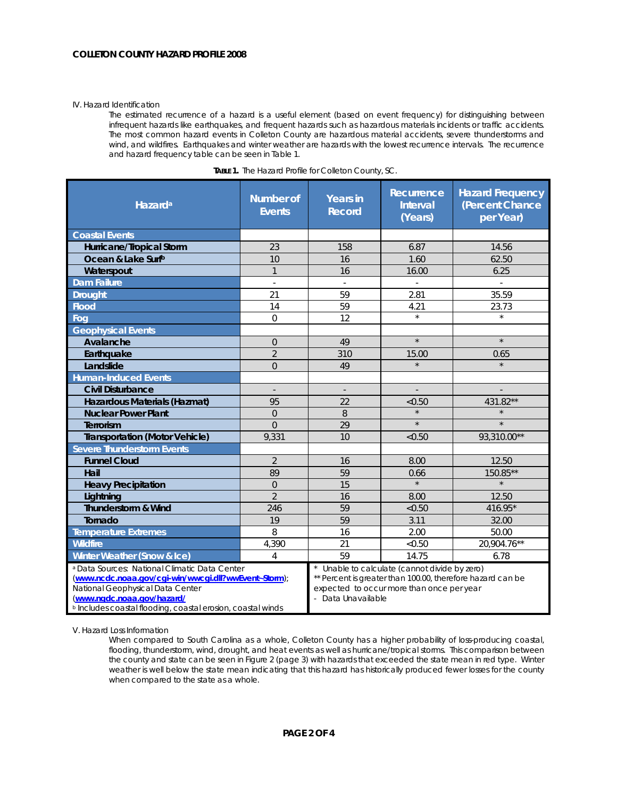#### IV. Hazard Identification

The estimated recurrence of a hazard is a useful element (based on event frequency) for distinguishing between infrequent hazards like earthquakes, and frequent hazards such as hazardous materials incidents or traffic accidents. The most common hazard events in Colleton County are hazardous material accidents, severe thunderstorms and wind, and wildfires. Earthquakes and winter weather are hazards with the lowest recurrence intervals. The recurrence and hazard frequency table can be seen in Table 1.

| Hazard <sup>a</sup>                                                                                                                                                                                                                           | <b>Number of</b><br><b>Events</b> | <b>Years in</b><br><b>Record</b>                                                                                                                                             | Recurrence<br><b>Interval</b><br>(Years) | <b>Hazard Frequency</b><br>(Percent Chance<br>per Year) |
|-----------------------------------------------------------------------------------------------------------------------------------------------------------------------------------------------------------------------------------------------|-----------------------------------|------------------------------------------------------------------------------------------------------------------------------------------------------------------------------|------------------------------------------|---------------------------------------------------------|
| <b>Coastal Events</b>                                                                                                                                                                                                                         |                                   |                                                                                                                                                                              |                                          |                                                         |
| Hurricane/Tropical Storm                                                                                                                                                                                                                      | 23                                | 158                                                                                                                                                                          | 6.87                                     | 14.56                                                   |
| Ocean & Lake Surfb                                                                                                                                                                                                                            | 10                                | 16                                                                                                                                                                           | 1.60                                     | 62.50                                                   |
| Waterspout                                                                                                                                                                                                                                    | $\mathbf{1}$                      | 16                                                                                                                                                                           | 16.00                                    | 6.25                                                    |
| <b>Dam Failure</b>                                                                                                                                                                                                                            | ä,                                |                                                                                                                                                                              | ä,                                       | $\mathbb{L}$                                            |
| <b>Drought</b>                                                                                                                                                                                                                                | 21                                | 59                                                                                                                                                                           | 2.81                                     | 35.59                                                   |
| <b>Flood</b>                                                                                                                                                                                                                                  | 14                                | 59                                                                                                                                                                           | 4.21                                     | 23.73                                                   |
| Fog                                                                                                                                                                                                                                           | $\mathbf 0$                       | 12                                                                                                                                                                           | $\star$                                  | $\star$                                                 |
| <b>Geophysical Events</b>                                                                                                                                                                                                                     |                                   |                                                                                                                                                                              |                                          |                                                         |
| Avalanche                                                                                                                                                                                                                                     | $\overline{0}$                    | 49                                                                                                                                                                           | $\star$                                  | $\star$                                                 |
| Earthquake                                                                                                                                                                                                                                    | $\overline{2}$                    | 310                                                                                                                                                                          | 15.00                                    | 0.65                                                    |
| Landslide                                                                                                                                                                                                                                     | $\overline{0}$                    | 49                                                                                                                                                                           |                                          |                                                         |
| <b>Human-Induced Events</b>                                                                                                                                                                                                                   |                                   |                                                                                                                                                                              |                                          |                                                         |
| <b>Civil Disturbance</b>                                                                                                                                                                                                                      |                                   | $\centerdot$                                                                                                                                                                 |                                          |                                                         |
| Hazardous Materials (Hazmat)                                                                                                                                                                                                                  | 95                                | 22                                                                                                                                                                           | < 0.50                                   | 431.82**                                                |
| <b>Nuclear Power Plant</b>                                                                                                                                                                                                                    | $\overline{0}$                    | 8                                                                                                                                                                            | $\star$                                  |                                                         |
| Terrorism                                                                                                                                                                                                                                     | $\Omega$                          | 29                                                                                                                                                                           | $\star$                                  | $\star$                                                 |
| <b>Transportation (Motor Vehicle)</b>                                                                                                                                                                                                         | 9,331                             | 10                                                                                                                                                                           | < 0.50                                   | 93,310.00**                                             |
| <b>Severe Thunderstorm Events</b>                                                                                                                                                                                                             |                                   |                                                                                                                                                                              |                                          |                                                         |
| <b>Funnel Cloud</b>                                                                                                                                                                                                                           | $\overline{2}$                    | 16                                                                                                                                                                           | 8.00                                     | 12.50                                                   |
| Hail                                                                                                                                                                                                                                          | 89                                | 59                                                                                                                                                                           | 0.66                                     | 150.85**                                                |
| <b>Heavy Precipitation</b>                                                                                                                                                                                                                    | $\Omega$                          | 15                                                                                                                                                                           | $\star$                                  |                                                         |
| Lightning                                                                                                                                                                                                                                     | $\overline{2}$                    | 16                                                                                                                                                                           | 8.00                                     | 12.50                                                   |
| <b>Thunderstorm &amp; Wind</b>                                                                                                                                                                                                                | 246                               | 59                                                                                                                                                                           | < 0.50                                   | 416.95*                                                 |
| Tornado                                                                                                                                                                                                                                       | 19                                | 59                                                                                                                                                                           | 3.11                                     | 32.00                                                   |
| <b>Temperature Extremes</b>                                                                                                                                                                                                                   | 8                                 | 16                                                                                                                                                                           | 2.00                                     | 50.00                                                   |
| <b>Wildfire</b>                                                                                                                                                                                                                               | 4,390                             | 21                                                                                                                                                                           | < 0.50                                   | 20,904.76**                                             |
| Winter Weather (Snow & Ice)                                                                                                                                                                                                                   | 4                                 | 59                                                                                                                                                                           | 14.75                                    | 6.78                                                    |
| a Data Sources: National Climatic Data Center<br>(www.ncdc.noaa.gov/cgi-win/wwcgi.dll?wwEvent~Storm);<br>National Geophysical Data Center<br>(www.ngdc.noaa.gov/hazard/<br><b>b</b> Includes coastal flooding, coastal erosion, coastal winds |                                   | Unable to calculate (cannot divide by zero)<br>** Percent is greater than 100.00, therefore hazard can be<br>expected to occur more than once per year<br>- Data Unavailable |                                          |                                                         |

| <b>TABLE 1.</b> The Hazard Profile for Colleton County, SC. |  |  |  |  |  |  |
|-------------------------------------------------------------|--|--|--|--|--|--|
|-------------------------------------------------------------|--|--|--|--|--|--|

V. Hazard Loss Information

When compared to South Carolina as a whole, Colleton County has a higher probability of loss-producing coastal, flooding, thunderstorm, wind, drought, and heat events as well as hurricane/tropical storms. This comparison between the county and state can be seen in Figure 2 (page 3) with hazards that exceeded the state mean in red type. Winter weather is well below the state mean indicating that this hazard has historically produced fewer losses for the county when compared to the state as a whole.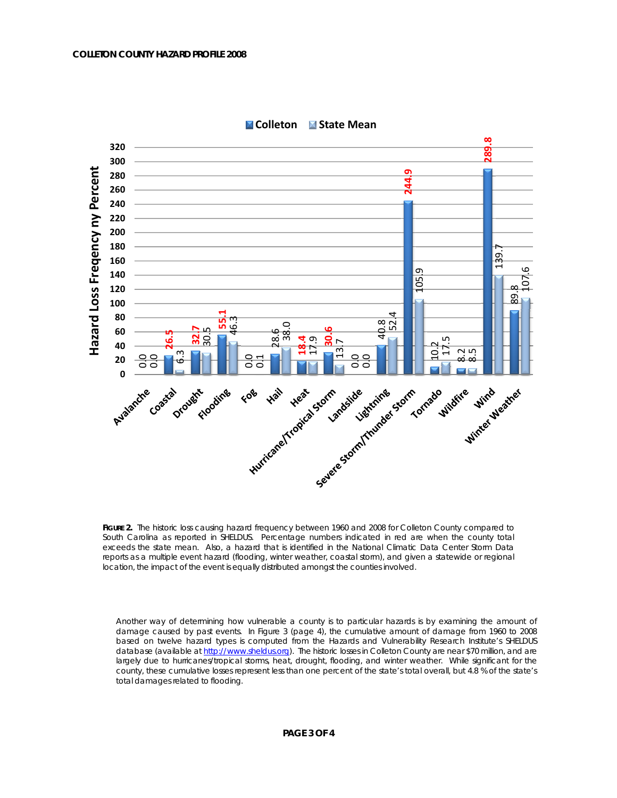

**Colleton State Mean**

FIGURE 2. The historic loss causing hazard frequency between 1960 and 2008 for Colleton County compared to South Carolina as reported in SHELDUS. Percentage numbers indicated in red are when the county total exceeds the state mean. Also, a hazard that is identified in the National Climatic Data Center Storm Data reports as a multiple event hazard (flooding, winter weather, coastal storm), and given a statewide or regional<br>location, the impact of the event is equally distributed amongst the counties involved.

Another way of determining how vulnerable a county is to particular hazards is by examining the amount of damage caused by past events. In Figure 3 (page 4), the cumulative amount of damage from 1960 to 2008 based on twelve hazard types is computed from the Hazards and Vulnerability Research Institute's SHELDUS database (available at http://www.sheldus.org). The historic losses in Colleton County are near \$70 million, and are largely due to hurricanes/tropical storms, heat, drought, flooding, and winter weather. While significant for the county, these cumulative losses represent less than one percent of the state's total overall, but 4.8 % of the state's total damages related to flooding.